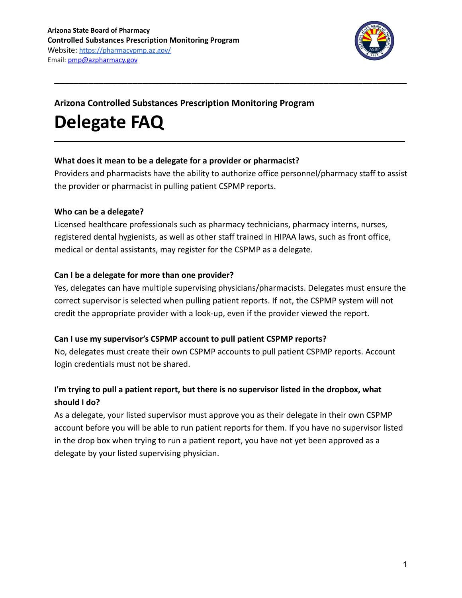

## **Arizona Controlled Substances Prescription Monitoring Program**

# **Delegate FAQ**

#### **What does it mean to be a delegate for a provider or pharmacist?**

Providers and pharmacists have the ability to authorize office personnel/pharmacy staff to assist the provider or pharmacist in pulling patient CSPMP reports.

**\_\_\_\_\_\_\_\_\_\_\_\_\_\_\_\_\_\_\_\_\_\_\_\_\_\_\_\_\_\_\_\_\_\_\_\_\_\_\_\_\_\_\_\_\_\_\_\_\_\_\_\_\_\_\_\_\_\_\_\_\_\_\_\_\_\_\_\_\_\_\_\_\_\_\_\_**

**\_\_\_\_\_\_\_\_\_\_\_\_\_\_\_\_\_\_\_\_\_\_\_\_\_\_\_\_\_\_\_\_\_\_\_\_\_\_\_\_\_\_\_\_\_\_\_\_\_\_\_\_\_\_\_\_\_\_\_\_\_\_\_\_\_\_\_\_\_\_\_\_**

### **Who can be a delegate?**

Licensed healthcare professionals such as pharmacy technicians, pharmacy interns, nurses, registered dental hygienists, as well as other staff trained in HIPAA laws, such as front office, medical or dental assistants, may register for the CSPMP as a delegate.

#### **Can I be a delegate for more than one provider?**

Yes, delegates can have multiple supervising physicians/pharmacists. Delegates must ensure the correct supervisor is selected when pulling patient reports. If not, the CSPMP system will not credit the appropriate provider with a look-up, even if the provider viewed the report.

### **Can I use my supervisor's CSPMP account to pull patient CSPMP reports?**

No, delegates must create their own CSPMP accounts to pull patient CSPMP reports. Account login credentials must not be shared.

# **I'm trying to pull a patient report, but there is no supervisor listed in the dropbox, what should I do?**

As a delegate, your listed supervisor must approve you as their delegate in their own CSPMP account before you will be able to run patient reports for them. If you have no supervisor listed in the drop box when trying to run a patient report, you have not yet been approved as a delegate by your listed supervising physician.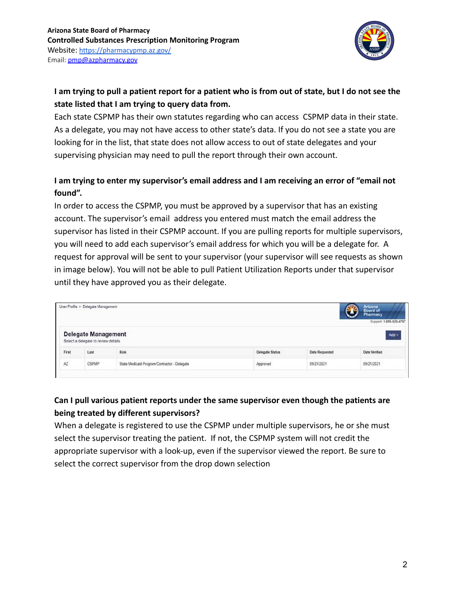

# **I am trying to pull a patient report for a patient who is from out of state, but I do not see the state listed that I am trying to query data from.**

Each state CSPMP has their own statutes regarding who can access CSPMP data in their state. As a delegate, you may not have access to other state's data. If you do not see a state you are looking for in the list, that state does not allow access to out of state delegates and your supervising physician may need to pull the report through their own account.

## **I am trying to enter my supervisor's email address and I am receiving an error of "email not found".**

In order to access the CSPMP, you must be approved by a supervisor that has an existing account. The supervisor's email address you entered must match the email address the supervisor has listed in their CSPMP account. If you are pulling reports for multiple supervisors, you will need to add each supervisor's email address for which you will be a delegate for. A request for approval will be sent to your supervisor (your supervisor will see requests as shown in image below). You will not be able to pull Patient Utilization Reports under that supervisor until they have approved you as their delegate.

| User Profile > Delegate Management |                                      |                 |                 |                | Arizona<br>Board of<br>Pharmacy<br>Support: 1-855-929-4767 |
|------------------------------------|--------------------------------------|-----------------|-----------------|----------------|------------------------------------------------------------|
|                                    | <b>Delegate Management</b>           |                 |                 |                | $Add +$                                                    |
|                                    | Select a delegate to review details. |                 |                 |                |                                                            |
| First                              | Last                                 | Role<br>www.com | Delegate Status | Date Requested | Date Verified                                              |

# **Can I pull various patient reports under the same supervisor even though the patients are being treated by different supervisors?**

When a delegate is registered to use the CSPMP under multiple supervisors, he or she must select the supervisor treating the patient. If not, the CSPMP system will not credit the appropriate supervisor with a look-up, even if the supervisor viewed the report. Be sure to select the correct supervisor from the drop down selection